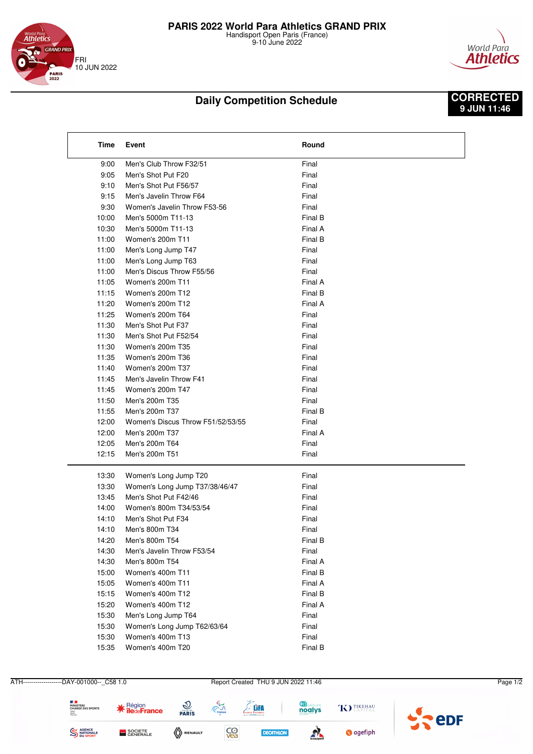

9-10 June 2022



## **Daily Competition Schedule**

## **CORRECTED 9 JUN 11:46**

| Time  | Event                             | Round   |  |
|-------|-----------------------------------|---------|--|
| 9:00  | Men's Club Throw F32/51           | Final   |  |
| 9:05  | Men's Shot Put F20                | Final   |  |
| 9:10  | Men's Shot Put F56/57             | Final   |  |
| 9:15  | Men's Javelin Throw F64           | Final   |  |
| 9:30  | Women's Javelin Throw F53-56      | Final   |  |
| 10:00 | Men's 5000m T11-13                | Final B |  |
| 10:30 | Men's 5000m T11-13                | Final A |  |
| 11:00 | Women's 200m T11                  | Final B |  |
| 11:00 | Men's Long Jump T47               | Final   |  |
| 11:00 | Men's Long Jump T63               | Final   |  |
| 11:00 | Men's Discus Throw F55/56         | Final   |  |
| 11:05 | Women's 200m T11                  | Final A |  |
| 11:15 | Women's 200m T12                  | Final B |  |
| 11:20 | Women's 200m T12                  | Final A |  |
| 11:25 | Women's 200m T64                  | Final   |  |
| 11:30 | Men's Shot Put F37                | Final   |  |
| 11:30 | Men's Shot Put F52/54             | Final   |  |
| 11:30 | Women's 200m T35                  | Final   |  |
| 11:35 | Women's 200m T36                  | Final   |  |
| 11:40 | Women's 200m T37                  | Final   |  |
| 11:45 | Men's Javelin Throw F41           | Final   |  |
| 11:45 | Women's 200m T47                  | Final   |  |
| 11:50 | Men's 200m T35                    | Final   |  |
| 11:55 | Men's 200m T37                    | Final B |  |
| 12:00 | Women's Discus Throw F51/52/53/55 | Final   |  |
| 12:00 | Men's 200m T37                    | Final A |  |
| 12:05 | Men's 200m T64                    | Final   |  |
| 12:15 | Men's 200m T51                    | Final   |  |
| 13:30 | Women's Long Jump T20             | Final   |  |
| 13:30 | Women's Long Jump T37/38/46/47    | Final   |  |
| 13:45 | Men's Shot Put F42/46             | Final   |  |
| 14:00 | Women's 800m T34/53/54            | Final   |  |
| 14:10 | Men's Shot Put F34                | Final   |  |
| 14:10 | Men's 800m T34                    | Final   |  |
| 14:20 | Men's 800m T54                    | Final B |  |
| 14:30 | Men's Javelin Throw F53/54        | Final   |  |
| 14:30 | Men's 800m T54                    | Final A |  |
| 15:00 | Women's 400m T11                  | Final B |  |
| 15:05 | Women's 400m T11                  | Final A |  |
| 15:15 | Women's 400m T12                  | Final B |  |
| 15:20 | Women's 400m T12                  | Final A |  |
| 15:30 | Men's Long Jump T64               | Final   |  |
| 15:30 | Women's Long Jump T62/63/64       | Final   |  |
| 15:30 | Women's 400m T13                  | Final   |  |
| 15:35 | Women's 400m T20                  | Final B |  |
|       |                                   |         |  |